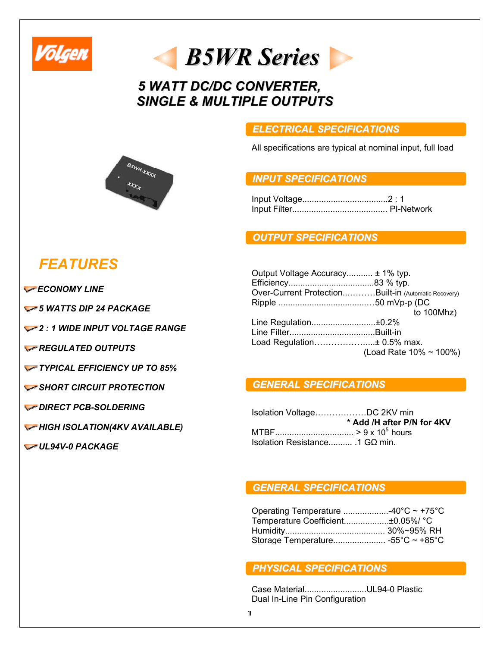

## *B5WRSeries*

## *5 WATT DC/DC CONVERTER, SINGLE & MULTIPLE OUTPUTS*

#### *ELECTRICAL SPECIFICATIONS*

All specifications are typical at nominal input, full load

#### *INPUT SPECIFICATIONS*

Input Voltage....................................2 : 1 Input Filter........................................ PI-Network

#### *OUTPUT SPECIFICATIONS*

| Output Voltage Accuracy ± 1% typ.                    |                        |
|------------------------------------------------------|------------------------|
|                                                      |                        |
| Over-Current ProtectionBuilt-in (Automatic Recovery) |                        |
|                                                      |                        |
|                                                      | to $100Mhz$ )          |
| Line Regulation±0.2%                                 |                        |
|                                                      |                        |
| Load Regulation± 0.5% max.                           |                        |
|                                                      | (Load Rate 10% ~ 100%) |
|                                                      |                        |

#### *GENERAL SPECIFICATIONS*

| Isolation VoltageDC 2KV min    |                            |
|--------------------------------|----------------------------|
|                                | * Add /H after P/N for 4KV |
|                                |                            |
| Isolation Resistance 1 GΩ min. |                            |

#### *GENERAL SPECIFICATIONS*

| Operating Temperature 40°C $\sim$ +75°C |  |
|-----------------------------------------|--|
| Temperature Coefficient±0.05%/ °C       |  |
|                                         |  |
|                                         |  |

#### *PHYSICAL SPECIFICATIONS*

Case Material..........................UL94-0 Plastic Dual In-Line Pin Configuration



# *FEATURES*

**ECONOMY LINE** 

*5 WATTS DIP 24 PACKAGE* 

*2 : 1 WIDE INPUT VOLTAGE RANGE* 

*REGULATED OUTPUTS* 

*TYPICAL EFFICIENCY UP TO 85%*

*SHORT CIRCUIT PROTECTION* 

#### *DIRECT PCB-SOLDERING*

*HIGH ISOLATION(4KV AVAILABLE)* 

*UL94V-0 PACKAGE*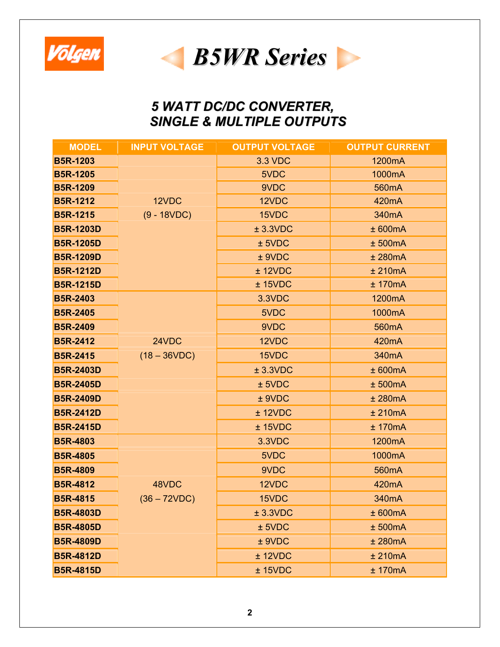



## *5 WATT DC/DC CONVERTER, SINGLE & MULTIPLE OUTPUTS*

| <b>MODEL</b>     | <b>INPUT VOLTAGE</b> | <b>OUTPUT VOLTAGE</b> | <b>OUTPUT CURRENT</b> |
|------------------|----------------------|-----------------------|-----------------------|
| <b>B5R-1203</b>  |                      | <b>3.3 VDC</b>        | 1200mA                |
| <b>B5R-1205</b>  |                      | 5VDC                  | 1000mA                |
| <b>B5R-1209</b>  |                      | 9VDC                  | 560mA                 |
| <b>B5R-1212</b>  | 12VDC                | 12VDC                 | 420 <sub>m</sub> A    |
| <b>B5R-1215</b>  | $(9 - 18VDC)$        | 15VDC                 | 340mA                 |
| <b>B5R-1203D</b> |                      | $±$ 3.3VDC            | ± 600mA               |
| <b>B5R-1205D</b> |                      | $±$ 5VDC              | ± 500mA               |
| <b>B5R-1209D</b> |                      | $±$ 9VDC              | ± 280mA               |
| <b>B5R-1212D</b> |                      | $±$ 12VDC             | ± 210mA               |
| <b>B5R-1215D</b> |                      | $±$ 15VDC             | ± 170mA               |
| <b>B5R-2403</b>  |                      | 3.3VDC                | 1200mA                |
| <b>B5R-2405</b>  |                      | 5VDC                  | 1000mA                |
| <b>B5R-2409</b>  |                      | 9VDC                  | 560 <sub>m</sub> A    |
| <b>B5R-2412</b>  | 24VDC                | 12VDC                 | 420 <sub>m</sub> A    |
| <b>B5R-2415</b>  | $(18 - 36VDC)$       | 15VDC                 | 340 <sub>m</sub> A    |
| <b>B5R-2403D</b> |                      | ± 3.3VDC              | ± 600mA               |
| <b>B5R-2405D</b> |                      | $±$ 5VDC              | ± 500mA               |
| <b>B5R-2409D</b> |                      | ± 9VDC                | ± 280mA               |
| <b>B5R-2412D</b> |                      | $±$ 12VDC             | ± 210mA               |
| <b>B5R-2415D</b> |                      | $±$ 15VDC             | ± 170mA               |
| <b>B5R-4803</b>  |                      | 3.3VDC                | 1200mA                |
| <b>B5R-4805</b>  |                      | 5VDC                  | 1000mA                |
| <b>B5R-4809</b>  |                      | 9VDC                  | 560 <sub>m</sub> A    |
| <b>B5R-4812</b>  | 48VDC                | 12VDC                 | 420mA                 |
| <b>B5R-4815</b>  | $(36 - 72VDC)$       | 15VDC                 | 340mA                 |
| <b>B5R-4803D</b> |                      | ± 3.3VDC              | ± 600mA               |
| <b>B5R-4805D</b> |                      | $±$ 5VDC              | ± 500mA               |
| <b>B5R-4809D</b> |                      | $±$ 9VDC              | ± 280mA               |
| <b>B5R-4812D</b> |                      | ± 12VDC               | ± 210mA               |
| <b>B5R-4815D</b> |                      | $±$ 15VDC             | ± 170mA               |